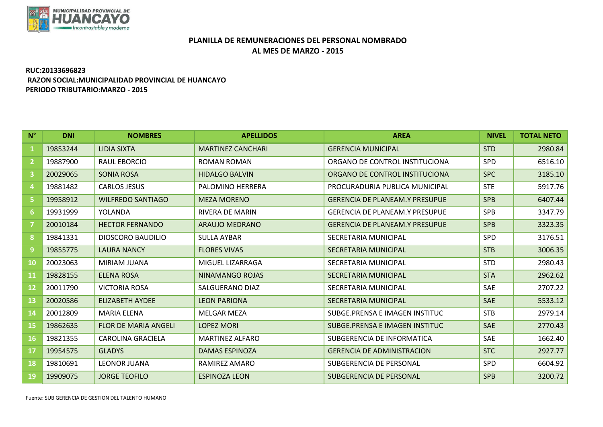

## **PLANILLA DE REMUNERACIONES DEL PERSONAL NOMBRADO AL MES DE MARZO - 2015**

## **RUC:20133696823 RAZON SOCIAL:MUNICIPALIDAD PROVINCIAL DE HUANCAYO PERIODO TRIBUTARIO:MARZO - 2015**

| $N^{\circ}$             | <b>DNI</b> | <b>NOMBRES</b>              | <b>APELLIDOS</b>         | <b>AREA</b>                           | <b>NIVEL</b> | <b>TOTAL NETO</b> |
|-------------------------|------------|-----------------------------|--------------------------|---------------------------------------|--------------|-------------------|
| 1                       | 19853244   | <b>LIDIA SIXTA</b>          | <b>MARTINEZ CANCHARI</b> | <b>GERENCIA MUNICIPAL</b>             | <b>STD</b>   | 2980.84           |
| $\overline{2}$          | 19887900   | <b>RAUL EBORCIO</b>         | <b>ROMAN ROMAN</b>       | ORGANO DE CONTROL INSTITUCIONA        | SPD          | 6516.10           |
| $\overline{\mathbf{3}}$ | 20029065   | <b>SONIA ROSA</b>           | <b>HIDALGO BALVIN</b>    | ORGANO DE CONTROL INSTITUCIONA        | <b>SPC</b>   | 3185.10           |
| 4                       | 19881482   | <b>CARLOS JESUS</b>         | PALOMINO HERRERA         | PROCURADURIA PUBLICA MUNICIPAL        | <b>STE</b>   | 5917.76           |
| 5.                      | 19958912   | <b>WILFREDO SANTIAGO</b>    | <b>MEZA MORENO</b>       | <b>GERENCIA DE PLANEAM.Y PRESUPUE</b> | <b>SPB</b>   | 6407.44           |
| 6                       | 19931999   | YOLANDA                     | <b>RIVERA DE MARIN</b>   | <b>GERENCIA DE PLANEAM.Y PRESUPUE</b> | <b>SPB</b>   | 3347.79           |
| 7                       | 20010184   | <b>HECTOR FERNANDO</b>      | <b>ARAUJO MEDRANO</b>    | <b>GERENCIA DE PLANEAM.Y PRESUPUE</b> | <b>SPB</b>   | 3323.35           |
| 8                       | 19841331   | <b>DIOSCORO BAUDILIO</b>    | <b>SULLA AYBAR</b>       | SECRETARIA MUNICIPAL                  | SPD          | 3176.51           |
| $\overline{9}$          | 19855775   | <b>LAURA NANCY</b>          | <b>FLORES VIVAS</b>      | <b>SECRETARIA MUNICIPAL</b>           | <b>STB</b>   | 3006.35           |
| 10                      | 20023063   | <b>MIRIAM JUANA</b>         | MIGUEL LIZARRAGA         | SECRETARIA MUNICIPAL                  | <b>STD</b>   | 2980.43           |
| <b>11</b>               | 19828155   | <b>ELENA ROSA</b>           | <b>NINAMANGO ROJAS</b>   | <b>SECRETARIA MUNICIPAL</b>           | <b>STA</b>   | 2962.62           |
| $12 \overline{ }$       | 20011790   | <b>VICTORIA ROSA</b>        | <b>SALGUERANO DIAZ</b>   | SECRETARIA MUNICIPAL                  | SAE          | 2707.22           |
| 13                      | 20020586   | <b>ELIZABETH AYDEE</b>      | <b>LEON PARIONA</b>      | <b>SECRETARIA MUNICIPAL</b>           | <b>SAE</b>   | 5533.12           |
| 14                      | 20012809   | <b>MARIA ELENA</b>          | <b>MELGAR MEZA</b>       | SUBGE PRENSA E IMAGEN INSTITUC        | <b>STB</b>   | 2979.14           |
| <b>15</b>               | 19862635   | <b>FLOR DE MARIA ANGELI</b> | <b>LOPEZ MORI</b>        | SUBGE.PRENSA E IMAGEN INSTITUC        | <b>SAE</b>   | 2770.43           |
| <b>16</b>               | 19821355   | <b>CAROLINA GRACIELA</b>    | <b>MARTINEZ ALFARO</b>   | SUBGERENCIA DE INFORMATICA            | SAE          | 1662.40           |
| 17                      | 19954575   | <b>GLADYS</b>               | <b>DAMAS ESPINOZA</b>    | <b>GERENCIA DE ADMINISTRACION</b>     | <b>STC</b>   | 2927.77           |
| 18                      | 19810691   | <b>LEONOR JUANA</b>         | RAMIREZ AMARO            | SUBGERENCIA DE PERSONAL               | SPD          | 6604.92           |
| 19                      | 19909075   | <b>JORGE TEOFILO</b>        | <b>ESPINOZA LEON</b>     | <b>SUBGERENCIA DE PERSONAL</b>        | <b>SPB</b>   | 3200.72           |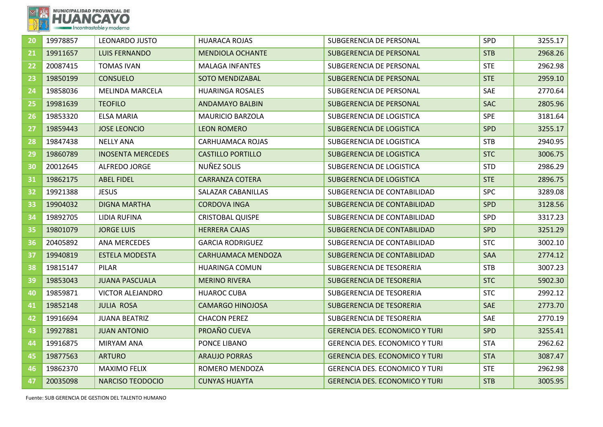

| 20 | 19978857 | <b>LEONARDO JUSTO</b>    | <b>HUARACA ROJAS</b>     | SUBGERENCIA DE PERSONAL               | SPD        | 3255.17 |
|----|----------|--------------------------|--------------------------|---------------------------------------|------------|---------|
| 21 | 19911657 | <b>LUIS FERNANDO</b>     | <b>MENDIOLA OCHANTE</b>  | SUBGERENCIA DE PERSONAL               | <b>STB</b> | 2968.26 |
| 22 | 20087415 | <b>TOMAS IVAN</b>        | <b>MALAGA INFANTES</b>   | SUBGERENCIA DE PERSONAL               | <b>STE</b> | 2962.98 |
| 23 | 19850199 | <b>CONSUELO</b>          | <b>SOTO MENDIZABAL</b>   | SUBGERENCIA DE PERSONAL               | <b>STE</b> | 2959.10 |
| 24 | 19858036 | <b>MELINDA MARCELA</b>   | <b>HUARINGA ROSALES</b>  | SUBGERENCIA DE PERSONAL               | SAE        | 2770.64 |
| 25 | 19981639 | <b>TEOFILO</b>           | <b>ANDAMAYO BALBIN</b>   | SUBGERENCIA DE PERSONAL               | <b>SAC</b> | 2805.96 |
| 26 | 19853320 | ELSA MARIA               | <b>MAURICIO BARZOLA</b>  | SUBGERENCIA DE LOGISTICA              | <b>SPE</b> | 3181.64 |
| 27 | 19859443 | <b>JOSE LEONCIO</b>      | <b>LEON ROMERO</b>       | <b>SUBGERENCIA DE LOGISTICA</b>       | <b>SPD</b> | 3255.17 |
| 28 | 19847438 | <b>NELLY ANA</b>         | <b>CARHUAMACA ROJAS</b>  | SUBGERENCIA DE LOGISTICA              | <b>STB</b> | 2940.95 |
| 29 | 19860789 | <b>INOSENTA MERCEDES</b> | <b>CASTILLO PORTILLO</b> | SUBGERENCIA DE LOGISTICA              | <b>STC</b> | 3006.75 |
| 30 | 20012645 | <b>ALFREDO JORGE</b>     | NUÑEZ SOLIS              | SUBGERENCIA DE LOGISTICA              | <b>STD</b> | 2986.29 |
| 31 | 19862175 | <b>ABEL FIDEL</b>        | <b>CARRANZA COTERA</b>   | SUBGERENCIA DE LOGISTICA              | <b>STE</b> | 2896.75 |
| 32 | 19921388 | <b>JESUS</b>             | SALAZAR CABANILLAS       | SUBGERENCIA DE CONTABILIDAD           | <b>SPC</b> | 3289.08 |
| 33 | 19904032 | <b>DIGNA MARTHA</b>      | <b>CORDOVA INGA</b>      | SUBGERENCIA DE CONTABILIDAD           | <b>SPD</b> | 3128.56 |
| 34 | 19892705 | LIDIA RUFINA             | CRISTOBAL QUISPE         | SUBGERENCIA DE CONTABILIDAD           | <b>SPD</b> | 3317.23 |
| 35 | 19801079 | <b>JORGE LUIS</b>        | <b>HERRERA CAJAS</b>     | SUBGERENCIA DE CONTABILIDAD           | <b>SPD</b> | 3251.29 |
| 36 | 20405892 | <b>ANA MERCEDES</b>      | <b>GARCIA RODRIGUEZ</b>  | SUBGERENCIA DE CONTABILIDAD           | <b>STC</b> | 3002.10 |
| 37 | 19940819 | <b>ESTELA MODESTA</b>    | CARHUAMACA MENDOZA       | SUBGERENCIA DE CONTABILIDAD           | <b>SAA</b> | 2774.12 |
| 38 | 19815147 | PILAR                    | HUARINGA COMUN           | SUBGERENCIA DE TESORERIA              | <b>STB</b> | 3007.23 |
| 39 | 19853043 | <b>JUANA PASCUALA</b>    | <b>MERINO RIVERA</b>     | <b>SUBGERENCIA DE TESORERIA</b>       | <b>STC</b> | 5902.30 |
| 40 | 19859871 | <b>VICTOR ALEJANDRO</b>  | <b>HUAROC CUBA</b>       | SUBGERENCIA DE TESORERIA              | <b>STC</b> | 2992.12 |
| 41 | 19852148 | <b>JULIA ROSA</b>        | <b>CAMARGO HINOJOSA</b>  | <b>SUBGERENCIA DE TESORERIA</b>       | <b>SAE</b> | 2773.70 |
| 42 | 19916694 | <b>JUANA BEATRIZ</b>     | <b>CHACON PEREZ</b>      | SUBGERENCIA DE TESORERIA              | SAE        | 2770.19 |
| 43 | 19927881 | <b>JUAN ANTONIO</b>      | PROAÑO CUEVA             | <b>GERENCIA DES. ECONOMICO Y TURI</b> | <b>SPD</b> | 3255.41 |
| 44 | 19916875 | <b>MIRYAM ANA</b>        | PONCE LIBANO             | <b>GERENCIA DES. ECONOMICO Y TURI</b> | <b>STA</b> | 2962.62 |
| 45 | 19877563 | <b>ARTURO</b>            | <b>ARAUJO PORRAS</b>     | <b>GERENCIA DES. ECONOMICO Y TURI</b> | <b>STA</b> | 3087.47 |
| 46 | 19862370 | <b>MAXIMO FELIX</b>      | ROMERO MENDOZA           | <b>GERENCIA DES. ECONOMICO Y TURI</b> | <b>STE</b> | 2962.98 |
| 47 | 20035098 | <b>NARCISO TEODOCIO</b>  | <b>CUNYAS HUAYTA</b>     | <b>GERENCIA DES. ECONOMICO Y TURI</b> | <b>STB</b> | 3005.95 |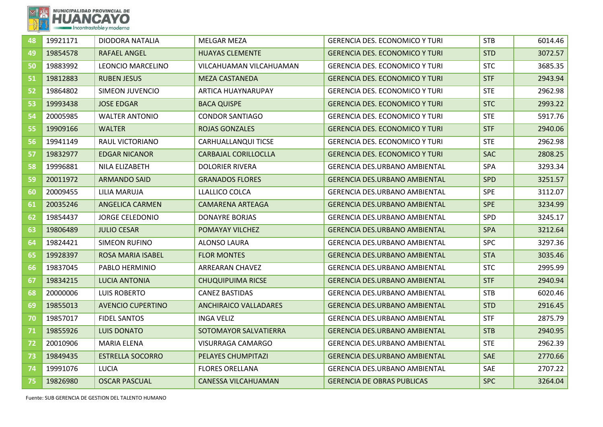

| 48 | 19921171 | <b>DIODORA NATALIA</b>   | <b>MELGAR MEZA</b>           | <b>GERENCIA DES. ECONOMICO Y TURI</b> | <b>STB</b> | 6014.46 |
|----|----------|--------------------------|------------------------------|---------------------------------------|------------|---------|
| 49 | 19854578 | RAFAEL ANGEL             | <b>HUAYAS CLEMENTE</b>       | <b>GERENCIA DES. ECONOMICO Y TURI</b> | <b>STD</b> | 3072.57 |
| 50 | 19883992 | LEONCIO MARCELINO        | VILCAHUAMAN VILCAHUAMAN      | <b>GERENCIA DES. ECONOMICO Y TURI</b> | <b>STC</b> | 3685.35 |
| 51 | 19812883 | <b>RUBEN JESUS</b>       | <b>MEZA CASTANEDA</b>        | <b>GERENCIA DES. ECONOMICO Y TURI</b> | <b>STF</b> | 2943.94 |
| 52 | 19864802 | <b>SIMEON JUVENCIO</b>   | ARTICA HUAYNARUPAY           | <b>GERENCIA DES. ECONOMICO Y TURI</b> | <b>STE</b> | 2962.98 |
| 53 | 19993438 | <b>JOSE EDGAR</b>        | <b>BACA QUISPE</b>           | <b>GERENCIA DES. ECONOMICO Y TURI</b> | <b>STC</b> | 2993.22 |
| 54 | 20005985 | <b>WALTER ANTONIO</b>    | <b>CONDOR SANTIAGO</b>       | <b>GERENCIA DES. ECONOMICO Y TURI</b> | <b>STE</b> | 5917.76 |
| 55 | 19909166 | <b>WALTER</b>            | <b>ROJAS GONZALES</b>        | <b>GERENCIA DES. ECONOMICO Y TURI</b> | <b>STF</b> | 2940.06 |
| 56 | 19941149 | RAUL VICTORIANO          | CARHUALLANQUI TICSE          | <b>GERENCIA DES. ECONOMICO Y TURI</b> | <b>STE</b> | 2962.98 |
| 57 | 19832977 | <b>EDGAR NICANOR</b>     | <b>CARBAJAL CORILLOCLLA</b>  | <b>GERENCIA DES. ECONOMICO Y TURI</b> | <b>SAC</b> | 2808.25 |
| 58 | 19996881 | NILA ELIZABETH           | <b>DOLORIER RIVERA</b>       | <b>GERENCIA DES.URBANO AMBIENTAL</b>  | <b>SPA</b> | 3293.34 |
| 59 | 20011972 | <b>ARMANDO SAID</b>      | <b>GRANADOS FLORES</b>       | <b>GERENCIA DES.URBANO AMBIENTAL</b>  | <b>SPD</b> | 3251.57 |
| 60 | 20009455 | LILIA MARUJA             | LLALLICO COLCA               | <b>GERENCIA DES.URBANO AMBIENTAL</b>  | <b>SPE</b> | 3112.07 |
| 61 | 20035246 | <b>ANGELICA CARMEN</b>   | <b>CAMARENA ARTEAGA</b>      | <b>GERENCIA DES.URBANO AMBIENTAL</b>  | <b>SPE</b> | 3234.99 |
| 62 | 19854437 | <b>JORGE CELEDONIO</b>   | <b>DONAYRE BORJAS</b>        | <b>GERENCIA DES.URBANO AMBIENTAL</b>  | SPD        | 3245.17 |
| 63 | 19806489 | <b>JULIO CESAR</b>       | POMAYAY VILCHEZ              | <b>GERENCIA DES.URBANO AMBIENTAL</b>  | <b>SPA</b> | 3212.64 |
| 64 | 19824421 | <b>SIMEON RUFINO</b>     | <b>ALONSO LAURA</b>          | GERENCIA DES.URBANO AMBIENTAL         | <b>SPC</b> | 3297.36 |
| 65 | 19928397 | <b>ROSA MARIA ISABEL</b> | <b>FLOR MONTES</b>           | <b>GERENCIA DES.URBANO AMBIENTAL</b>  | <b>STA</b> | 3035.46 |
| 66 | 19837045 | PABLO HERMINIO           | ARREARAN CHAVEZ              | GERENCIA DES.URBANO AMBIENTAL         | <b>STC</b> | 2995.99 |
| 67 | 19834215 | LUCIA ANTONIA            | <b>CHUQUIPUIMA RICSE</b>     | <b>GERENCIA DES.URBANO AMBIENTAL</b>  | <b>STF</b> | 2940.94 |
| 68 | 20000006 | <b>LUIS ROBERTO</b>      | <b>CANEZ BASTIDAS</b>        | GERENCIA DES.URBANO AMBIENTAL         | <b>STB</b> | 6020.46 |
| 69 | 19855013 | <b>AVENCIO CUPERTINO</b> | <b>ANCHIRAICO VALLADARES</b> | <b>GERENCIA DES.URBANO AMBIENTAL</b>  | <b>STD</b> | 2916.45 |
| 70 | 19857017 | <b>FIDEL SANTOS</b>      | <b>INGA VELIZ</b>            | <b>GERENCIA DES.URBANO AMBIENTAL</b>  | <b>STF</b> | 2875.79 |
| 71 | 19855926 | <b>LUIS DONATO</b>       | SOTOMAYOR SALVATIERRA        | <b>GERENCIA DES.URBANO AMBIENTAL</b>  | <b>STB</b> | 2940.95 |
| 72 | 20010906 | <b>MARIA ELENA</b>       | VISURRAGA CAMARGO            | GERENCIA DES.URBANO AMBIENTAL         | <b>STE</b> | 2962.39 |
| 73 | 19849435 | <b>ESTRELLA SOCORRO</b>  | PELAYES CHUMPITAZI           | <b>GERENCIA DES.URBANO AMBIENTAL</b>  | SAE        | 2770.66 |
| 74 | 19991076 | <b>LUCIA</b>             | <b>FLORES ORELLANA</b>       | <b>GERENCIA DES.URBANO AMBIENTAL</b>  | SAE        | 2707.22 |
| 75 | 19826980 | <b>OSCAR PASCUAL</b>     | <b>CANESSA VILCAHUAMAN</b>   | <b>GERENCIA DE OBRAS PUBLICAS</b>     | <b>SPC</b> | 3264.04 |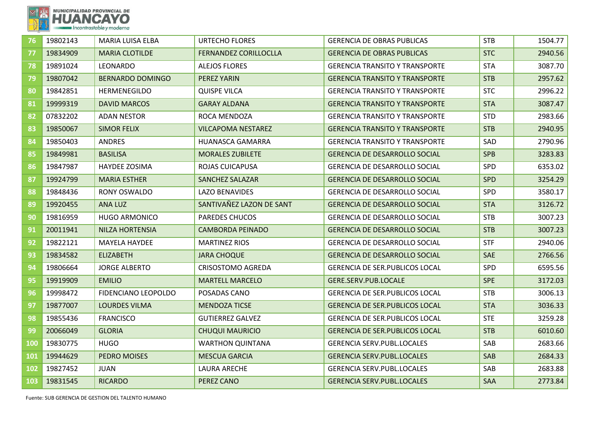

| 76         | 19802143 | MARIA LUISA ELBA        | <b>URTECHO FLORES</b>        | <b>GERENCIA DE OBRAS PUBLICAS</b>     | <b>STB</b> | 1504.77 |
|------------|----------|-------------------------|------------------------------|---------------------------------------|------------|---------|
| 77         | 19834909 | <b>MARIA CLOTILDE</b>   | <b>FERNANDEZ CORILLOCLLA</b> | <b>GERENCIA DE OBRAS PUBLICAS</b>     | <b>STC</b> | 2940.56 |
| 78         | 19891024 | <b>LEONARDO</b>         | <b>ALEJOS FLORES</b>         | <b>GERENCIA TRANSITO Y TRANSPORTE</b> | <b>STA</b> | 3087.70 |
| 79         | 19807042 | <b>BERNARDO DOMINGO</b> | PEREZ YARIN                  | <b>GERENCIA TRANSITO Y TRANSPORTE</b> | <b>STB</b> | 2957.62 |
| 80         | 19842851 | <b>HERMENEGILDO</b>     | <b>QUISPE VILCA</b>          | <b>GERENCIA TRANSITO Y TRANSPORTE</b> | <b>STC</b> | 2996.22 |
| 81         | 19999319 | <b>DAVID MARCOS</b>     | <b>GARAY ALDANA</b>          | <b>GERENCIA TRANSITO Y TRANSPORTE</b> | <b>STA</b> | 3087.47 |
| 82         | 07832202 | <b>ADAN NESTOR</b>      | ROCA MENDOZA                 | <b>GERENCIA TRANSITO Y TRANSPORTE</b> | <b>STD</b> | 2983.66 |
| 83         | 19850067 | <b>SIMOR FELIX</b>      | <b>VILCAPOMA NESTAREZ</b>    | <b>GERENCIA TRANSITO Y TRANSPORTE</b> | <b>STB</b> | 2940.95 |
| 84         | 19850403 | <b>ANDRES</b>           | HUANASCA GAMARRA             | <b>GERENCIA TRANSITO Y TRANSPORTE</b> | SAD        | 2790.96 |
| 85         | 19849981 | <b>BASILISA</b>         | <b>MORALES ZUBILETE</b>      | <b>GERENCIA DE DESARROLLO SOCIAL</b>  | <b>SPB</b> | 3283.83 |
| 86         | 19847987 | HAYDEE ZOSIMA           | ROJAS CUICAPUSA              | GERENCIA DE DESARROLLO SOCIAL         | SPD        | 6353.02 |
| 87         | 19924799 | <b>MARIA ESTHER</b>     | <b>SANCHEZ SALAZAR</b>       | <b>GERENCIA DE DESARROLLO SOCIAL</b>  | <b>SPD</b> | 3254.29 |
| 88         | 19848436 | RONY OSWALDO            | <b>LAZO BENAVIDES</b>        | <b>GERENCIA DE DESARROLLO SOCIAL</b>  | SPD        | 3580.17 |
| 89         | 19920455 | ANA LUZ                 | SANTIVAÑEZ LAZON DE SANT     | <b>GERENCIA DE DESARROLLO SOCIAL</b>  | <b>STA</b> | 3126.72 |
| 90         | 19816959 | <b>HUGO ARMONICO</b>    | <b>PAREDES CHUCOS</b>        | <b>GERENCIA DE DESARROLLO SOCIAL</b>  | <b>STB</b> | 3007.23 |
| 91         | 20011941 | <b>NILZA HORTENSIA</b>  | <b>CAMBORDA PEINADO</b>      | <b>GERENCIA DE DESARROLLO SOCIAL</b>  | <b>STB</b> | 3007.23 |
| 92         | 19822121 | <b>MAYELA HAYDEE</b>    | <b>MARTINEZ RIOS</b>         | <b>GERENCIA DE DESARROLLO SOCIAL</b>  | <b>STF</b> | 2940.06 |
| 93         | 19834582 | <b>ELIZABETH</b>        | <b>JARA CHOQUE</b>           | <b>GERENCIA DE DESARROLLO SOCIAL</b>  | <b>SAE</b> | 2766.56 |
| 94         | 19806664 | <b>JORGE ALBERTO</b>    | <b>CRISOSTOMO AGREDA</b>     | <b>GERENCIA DE SER.PUBLICOS LOCAL</b> | SPD        | 6595.56 |
| 95         | 19919909 | <b>EMILIO</b>           | <b>MARTELL MARCELO</b>       | GERE.SERV.PUB.LOCALE                  | <b>SPE</b> | 3172.03 |
| 96         | 19998472 | FIDENCIANO LEOPOLDO     | POSADAS CANO                 | <b>GERENCIA DE SER.PUBLICOS LOCAL</b> | <b>STB</b> | 3006.13 |
| 97         | 19877007 | <b>LOURDES VILMA</b>    | <b>MENDOZA TICSE</b>         | <b>GERENCIA DE SER.PUBLICOS LOCAL</b> | <b>STA</b> | 3036.33 |
| 98         | 19855436 | <b>FRANCISCO</b>        | <b>GUTIERREZ GALVEZ</b>      | <b>GERENCIA DE SER.PUBLICOS LOCAL</b> | <b>STE</b> | 3259.28 |
| 99         | 20066049 | <b>GLORIA</b>           | <b>CHUQUI MAURICIO</b>       | <b>GERENCIA DE SER.PUBLICOS LOCAL</b> | <b>STB</b> | 6010.60 |
| <b>100</b> | 19830775 | <b>HUGO</b>             | <b>WARTHON QUINTANA</b>      | <b>GERENCIA SERV.PUBL.LOCALES</b>     | SAB        | 2683.66 |
| <b>101</b> | 19944629 | PEDRO MOISES            | <b>MESCUA GARCIA</b>         | <b>GERENCIA SERV.PUBL.LOCALES</b>     | <b>SAB</b> | 2684.33 |
| 102        | 19827452 | <b>JUAN</b>             | <b>LAURA ARECHE</b>          | <b>GERENCIA SERV.PUBL.LOCALES</b>     | SAB        | 2683.88 |
| 103        | 19831545 | <b>RICARDO</b>          | <b>PEREZ CANO</b>            | <b>GERENCIA SERV.PUBL.LOCALES</b>     | SAA        | 2773.84 |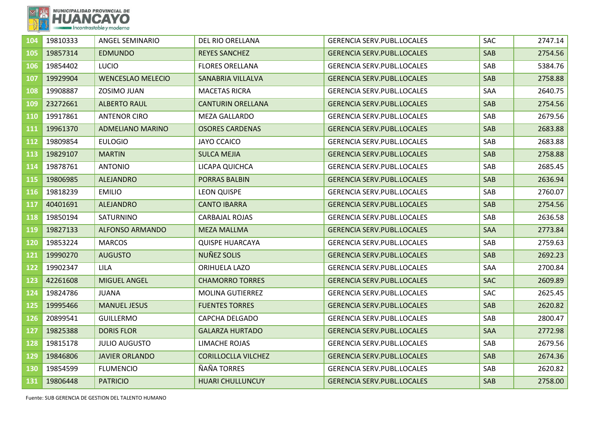

| 104              | 19810333 | <b>ANGEL SEMINARIO</b>   | <b>DEL RIO ORELLANA</b>    | <b>GERENCIA SERV.PUBL.LOCALES</b> | <b>SAC</b> | 2747.14 |
|------------------|----------|--------------------------|----------------------------|-----------------------------------|------------|---------|
| 105              | 19857314 | <b>EDMUNDO</b>           | <b>REYES SANCHEZ</b>       | <b>GERENCIA SERV.PUBL.LOCALES</b> | <b>SAB</b> | 2754.56 |
| 106              | 19854402 | <b>LUCIO</b>             | <b>FLORES ORELLANA</b>     | <b>GERENCIA SERV.PUBL.LOCALES</b> | SAB        | 5384.76 |
| 107              | 19929904 | <b>WENCESLAO MELECIO</b> | SANABRIA VILLALVA          | <b>GERENCIA SERV.PUBL.LOCALES</b> | SAB        | 2758.88 |
| 108              | 19908887 | ZOSIMO JUAN              | <b>MACETAS RICRA</b>       | <b>GERENCIA SERV.PUBL.LOCALES</b> | SAA        | 2640.75 |
| 109              | 23272661 | <b>ALBERTO RAUL</b>      | <b>CANTURIN ORELLANA</b>   | <b>GERENCIA SERV.PUBL.LOCALES</b> | SAB        | 2754.56 |
| 110              | 19917861 | <b>ANTENOR CIRO</b>      | <b>MEZA GALLARDO</b>       | <b>GERENCIA SERV.PUBL.LOCALES</b> | SAB        | 2679.56 |
| 111              | 19961370 | <b>ADMELIANO MARINO</b>  | <b>OSORES CARDENAS</b>     | <b>GERENCIA SERV.PUBL.LOCALES</b> | SAB        | 2683.88 |
| 112              | 19809854 | <b>EULOGIO</b>           | <b>JAYO CCAICO</b>         | <b>GERENCIA SERV.PUBL.LOCALES</b> | SAB        | 2683.88 |
| 113              | 19829107 | <b>MARTIN</b>            | <b>SULCA MEJIA</b>         | <b>GERENCIA SERV.PUBL.LOCALES</b> | SAB        | 2758.88 |
| 114              | 19878761 | <b>ANTONIO</b>           | LICAPA QUICHCA             | <b>GERENCIA SERV.PUBL.LOCALES</b> | SAB        | 2685.45 |
| 115              | 19806985 | <b>ALEJANDRO</b>         | <b>PORRAS BALBIN</b>       | <b>GERENCIA SERV.PUBL.LOCALES</b> | SAB        | 2636.94 |
| 116              | 19818239 | <b>EMILIO</b>            | <b>LEON QUISPE</b>         | <b>GERENCIA SERV.PUBL.LOCALES</b> | SAB        | 2760.07 |
| 117              | 40401691 | <b>ALEJANDRO</b>         | <b>CANTO IBARRA</b>        | <b>GERENCIA SERV.PUBL.LOCALES</b> | SAB        | 2754.56 |
| 118              | 19850194 | SATURNINO                | <b>CARBAJAL ROJAS</b>      | <b>GERENCIA SERV.PUBL.LOCALES</b> | SAB        | 2636.58 |
| 119              | 19827133 | <b>ALFONSO ARMANDO</b>   | <b>MEZA MALLMA</b>         | <b>GERENCIA SERV.PUBL.LOCALES</b> | <b>SAA</b> | 2773.84 |
| 120              | 19853224 | <b>MARCOS</b>            | <b>QUISPE HUARCAYA</b>     | <b>GERENCIA SERV.PUBL.LOCALES</b> | SAB        | 2759.63 |
| 121              | 19990270 | <b>AUGUSTO</b>           | NUÑEZ SOLIS                | <b>GERENCIA SERV.PUBL.LOCALES</b> | <b>SAB</b> | 2692.23 |
| $\overline{122}$ | 19902347 | <b>LILA</b>              | ORIHUELA LAZO              | <b>GERENCIA SERV.PUBL.LOCALES</b> | SAA        | 2700.84 |
| 123              | 42261608 | <b>MIGUEL ANGEL</b>      | <b>CHAMORRO TORRES</b>     | <b>GERENCIA SERV.PUBL.LOCALES</b> | <b>SAC</b> | 2609.89 |
| 124              | 19824786 | <b>JUANA</b>             | <b>MOLINA GUTIERREZ</b>    | <b>GERENCIA SERV.PUBL.LOCALES</b> | SAC        | 2625.45 |
| 125              | 19995466 | <b>MANUEL JESUS</b>      | <b>FUENTES TORRES</b>      | <b>GERENCIA SERV.PUBL.LOCALES</b> | <b>SAB</b> | 2620.82 |
| 126              | 20899541 | <b>GUILLERMO</b>         | CAPCHA DELGADO             | <b>GERENCIA SERV.PUBL.LOCALES</b> | SAB        | 2800.47 |
| 127              | 19825388 | <b>DORIS FLOR</b>        | <b>GALARZA HURTADO</b>     | <b>GERENCIA SERV.PUBL.LOCALES</b> | <b>SAA</b> | 2772.98 |
| 128              | 19815178 | <b>JULIO AUGUSTO</b>     | LIMACHE ROJAS              | <b>GERENCIA SERV.PUBL.LOCALES</b> | SAB.       | 2679.56 |
| 129              | 19846806 | <b>JAVIER ORLANDO</b>    | <b>CORILLOCLLA VILCHEZ</b> | <b>GERENCIA SERV.PUBL.LOCALES</b> | <b>SAB</b> | 2674.36 |
| 130              | 19854599 | <b>FLUMENCIO</b>         | ÑAÑA TORRES                | <b>GERENCIA SERV.PUBL.LOCALES</b> | SAB        | 2620.82 |
| 131              | 19806448 | <b>PATRICIO</b>          | <b>HUARI CHULLUNCUY</b>    | <b>GERENCIA SERV.PUBL.LOCALES</b> | SAB        | 2758.00 |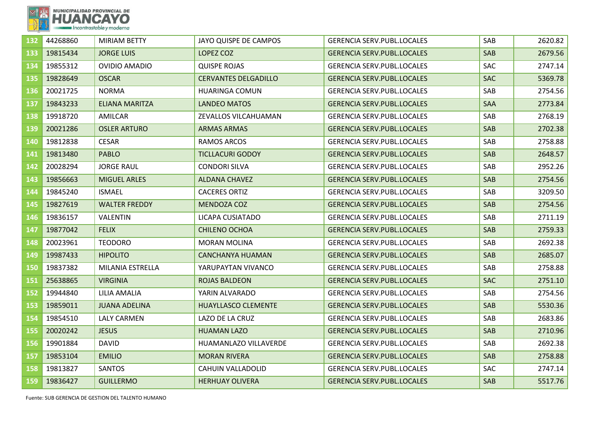

| 132 | 44268860 | <b>MIRIAM BETTY</b>   | JAYO QUISPE DE CAMPOS       | <b>GERENCIA SERV.PUBL.LOCALES</b> | SAB        | 2620.82 |
|-----|----------|-----------------------|-----------------------------|-----------------------------------|------------|---------|
| 133 | 19815434 | <b>JORGE LUIS</b>     | LOPEZ COZ                   | <b>GERENCIA SERV.PUBL.LOCALES</b> | SAB        | 2679.56 |
| 134 | 19855312 | <b>OVIDIO AMADIO</b>  | <b>QUISPE ROJAS</b>         | <b>GERENCIA SERV.PUBL.LOCALES</b> | <b>SAC</b> | 2747.14 |
| 135 | 19828649 | <b>OSCAR</b>          | <b>CERVANTES DELGADILLO</b> | <b>GERENCIA SERV.PUBL.LOCALES</b> | <b>SAC</b> | 5369.78 |
| 136 | 20021725 | <b>NORMA</b>          | <b>HUARINGA COMUN</b>       | <b>GERENCIA SERV.PUBL.LOCALES</b> | SAB        | 2754.56 |
| 137 | 19843233 | <b>ELIANA MARITZA</b> | <b>LANDEO MATOS</b>         | <b>GERENCIA SERV.PUBL.LOCALES</b> | SAA        | 2773.84 |
| 138 | 19918720 | AMILCAR               | ZEVALLOS VILCAHUAMAN        | <b>GERENCIA SERV.PUBL.LOCALES</b> | SAB        | 2768.19 |
| 139 | 20021286 | <b>OSLER ARTURO</b>   | <b>ARMAS ARMAS</b>          | <b>GERENCIA SERV.PUBL.LOCALES</b> | SAB        | 2702.38 |
| 140 | 19812838 | <b>CESAR</b>          | RAMOS ARCOS                 | <b>GERENCIA SERV.PUBL.LOCALES</b> | SAB        | 2758.88 |
| 141 | 19813480 | <b>PABLO</b>          | <b>TICLLACURI GODOY</b>     | <b>GERENCIA SERV.PUBL.LOCALES</b> | <b>SAB</b> | 2648.57 |
| 142 | 20028294 | <b>JORGE RAUL</b>     | <b>CONDORI SILVA</b>        | <b>GERENCIA SERV.PUBL.LOCALES</b> | SAB        | 2952.26 |
| 143 | 19856663 | <b>MIGUEL ARLES</b>   | <b>ALDANA CHAVEZ</b>        | <b>GERENCIA SERV.PUBL.LOCALES</b> | SAB        | 2754.56 |
| 144 | 19845240 | <b>ISMAEL</b>         | <b>CACERES ORTIZ</b>        | <b>GERENCIA SERV.PUBL.LOCALES</b> | SAB        | 3209.50 |
| 145 | 19827619 | <b>WALTER FREDDY</b>  | <b>MENDOZA COZ</b>          | <b>GERENCIA SERV.PUBL.LOCALES</b> | SAB        | 2754.56 |
| 146 | 19836157 | <b>VALENTIN</b>       | LICAPA CUSIATADO            | <b>GERENCIA SERV.PUBL.LOCALES</b> | SAB        | 2711.19 |
| 147 | 19877042 | <b>FELIX</b>          | <b>CHILENO OCHOA</b>        | <b>GERENCIA SERV.PUBL.LOCALES</b> | SAB        | 2759.33 |
| 148 | 20023961 | <b>TEODORO</b>        | <b>MORAN MOLINA</b>         | <b>GERENCIA SERV.PUBL.LOCALES</b> | SAB        | 2692.38 |
| 149 | 19987433 | <b>HIPOLITO</b>       | <b>CANCHANYA HUAMAN</b>     | <b>GERENCIA SERV.PUBL.LOCALES</b> | SAB        | 2685.07 |
| 150 | 19837382 | MILANIA ESTRELLA      | YARUPAYTAN VIVANCO          | <b>GERENCIA SERV.PUBL.LOCALES</b> | SAB        | 2758.88 |
| 151 | 25638865 | <b>VIRGINIA</b>       | <b>ROJAS BALDEON</b>        | <b>GERENCIA SERV.PUBL.LOCALES</b> | <b>SAC</b> | 2751.10 |
| 152 | 19944840 | LILIA AMALIA          | YARIN ALVARADO              | <b>GERENCIA SERV.PUBL.LOCALES</b> | SAB        | 2754.56 |
| 153 | 19859011 | <b>JUANA ADELINA</b>  | <b>HUAYLLASCO CLEMENTE</b>  | <b>GERENCIA SERV.PUBL.LOCALES</b> | SAB        | 5530.36 |
| 154 | 19854510 | <b>LALY CARMEN</b>    | LAZO DE LA CRUZ             | <b>GERENCIA SERV.PUBL.LOCALES</b> | SAB        | 2683.86 |
| 155 | 20020242 | <b>JESUS</b>          | <b>HUAMAN LAZO</b>          | <b>GERENCIA SERV.PUBL.LOCALES</b> | SAB        | 2710.96 |
| 156 | 19901884 | <b>DAVID</b>          | HUAMANLAZO VILLAVERDE       | <b>GERENCIA SERV.PUBL.LOCALES</b> | SAB        | 2692.38 |
| 157 | 19853104 | <b>EMILIO</b>         | <b>MORAN RIVERA</b>         | GERENCIA SERV.PUBL.LOCALES        | SAB        | 2758.88 |
| 158 | 19813827 | <b>SANTOS</b>         | CAHUIN VALLADOLID           | <b>GERENCIA SERV.PUBL.LOCALES</b> | SAC        | 2747.14 |
| 159 | 19836427 | <b>GUILLERMO</b>      | <b>HERHUAY OLIVERA</b>      | <b>GERENCIA SERV.PUBL.LOCALES</b> | SAB        | 5517.76 |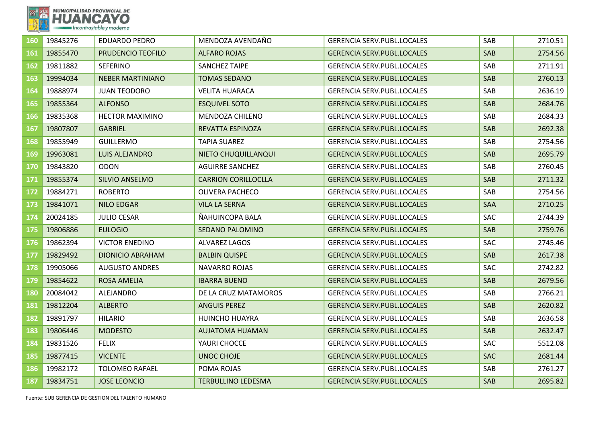

| 160 | 19845276 | <b>EDUARDO PEDRO</b>    | MENDOZA AVENDAÑO           | <b>GERENCIA SERV.PUBL.LOCALES</b> | SAB        | 2710.51 |
|-----|----------|-------------------------|----------------------------|-----------------------------------|------------|---------|
| 161 | 19855470 | PRUDENCIO TEOFILO       | <b>ALFARO ROJAS</b>        | <b>GERENCIA SERV.PUBL.LOCALES</b> | SAB        | 2754.56 |
| 162 | 19811882 | <b>SEFERINO</b>         | <b>SANCHEZ TAIPE</b>       | <b>GERENCIA SERV.PUBL.LOCALES</b> | SAB        | 2711.91 |
| 163 | 19994034 | <b>NEBER MARTINIANO</b> | <b>TOMAS SEDANO</b>        | <b>GERENCIA SERV.PUBL.LOCALES</b> | SAB        | 2760.13 |
| 164 | 19888974 | <b>JUAN TEODORO</b>     | <b>VELITA HUARACA</b>      | <b>GERENCIA SERV.PUBL.LOCALES</b> | SAB        | 2636.19 |
| 165 | 19855364 | <b>ALFONSO</b>          | <b>ESQUIVEL SOTO</b>       | <b>GERENCIA SERV.PUBL.LOCALES</b> | <b>SAB</b> | 2684.76 |
| 166 | 19835368 | <b>HECTOR MAXIMINO</b>  | MENDOZA CHILENO            | <b>GERENCIA SERV.PUBL.LOCALES</b> | SAB        | 2684.33 |
| 167 | 19807807 | <b>GABRIEL</b>          | REVATTA ESPINOZA           | <b>GERENCIA SERV.PUBL.LOCALES</b> | <b>SAB</b> | 2692.38 |
| 168 | 19855949 | <b>GUILLERMO</b>        | <b>TAPIA SUAREZ</b>        | <b>GERENCIA SERV.PUBL.LOCALES</b> | SAB        | 2754.56 |
| 169 | 19963081 | <b>LUIS ALEJANDRO</b>   | NIETO CHUQUILLANQUI        | <b>GERENCIA SERV.PUBL.LOCALES</b> | SAB        | 2695.79 |
| 170 | 19843820 | <b>ODON</b>             | <b>AGUIRRE SANCHEZ</b>     | <b>GERENCIA SERV.PUBL.LOCALES</b> | SAB        | 2760.45 |
| 171 | 19855374 | SILVIO ANSELMO          | <b>CARRION CORILLOCLLA</b> | <b>GERENCIA SERV.PUBL.LOCALES</b> | SAB        | 2711.32 |
| 172 | 19884271 | <b>ROBERTO</b>          | <b>OLIVERA PACHECO</b>     | <b>GERENCIA SERV.PUBL.LOCALES</b> | SAB        | 2754.56 |
| 173 | 19841071 | <b>NILO EDGAR</b>       | <b>VILA LA SERNA</b>       | <b>GERENCIA SERV.PUBL.LOCALES</b> | <b>SAA</b> | 2710.25 |
| 174 | 20024185 | <b>JULIO CESAR</b>      | ÑAHUINCOPA BALA            | <b>GERENCIA SERV.PUBL.LOCALES</b> | SAC        | 2744.39 |
| 175 | 19806886 | <b>EULOGIO</b>          | <b>SEDANO PALOMINO</b>     | <b>GERENCIA SERV.PUBL.LOCALES</b> | SAB        | 2759.76 |
| 176 | 19862394 | <b>VICTOR ENEDINO</b>   | <b>ALVAREZ LAGOS</b>       | <b>GERENCIA SERV.PUBL.LOCALES</b> | SAC        | 2745.46 |
| 177 | 19829492 | <b>DIONICIO ABRAHAM</b> | <b>BALBIN QUISPE</b>       | <b>GERENCIA SERV.PUBL.LOCALES</b> | SAB        | 2617.38 |
| 178 | 19905066 | <b>AUGUSTO ANDRES</b>   | <b>NAVARRO ROJAS</b>       | <b>GERENCIA SERV.PUBL.LOCALES</b> | SAC        | 2742.82 |
| 179 | 19854622 | <b>ROSA AMELIA</b>      | <b>IBARRA BUENO</b>        | <b>GERENCIA SERV.PUBL.LOCALES</b> | SAB        | 2679.56 |
| 180 | 20084042 | ALEJANDRO               | DE LA CRUZ MATAMOROS       | <b>GERENCIA SERV.PUBL.LOCALES</b> | SAB        | 2766.21 |
| 181 | 19812204 | <b>ALBERTO</b>          | <b>ANGUIS PEREZ</b>        | <b>GERENCIA SERV.PUBL.LOCALES</b> | SAB        | 2620.82 |
| 182 | 19891797 | <b>HILARIO</b>          | <b>HUINCHO HUAYRA</b>      | GERENCIA SERV.PUBL.LOCALES        | SAB        | 2636.58 |
| 183 | 19806446 | <b>MODESTO</b>          | <b>AUJATOMA HUAMAN</b>     | <b>GERENCIA SERV.PUBL.LOCALES</b> | SAB        | 2632.47 |
| 184 | 19831526 | <b>FELIX</b>            | YAURI CHOCCE               | <b>GERENCIA SERV.PUBL.LOCALES</b> | SAC        | 5512.08 |
| 185 | 19877415 | <b>VICENTE</b>          | <b>UNOC CHOJE</b>          | <b>GERENCIA SERV.PUBL.LOCALES</b> | <b>SAC</b> | 2681.44 |
| 186 | 19982172 | <b>TOLOMEO RAFAEL</b>   | POMA ROJAS                 | <b>GERENCIA SERV.PUBL.LOCALES</b> | SAB        | 2761.27 |
| 187 | 19834751 | <b>JOSE LEONCIO</b>     | <b>TERBULLINO LEDESMA</b>  | <b>GERENCIA SERV.PUBL.LOCALES</b> | SAB        | 2695.82 |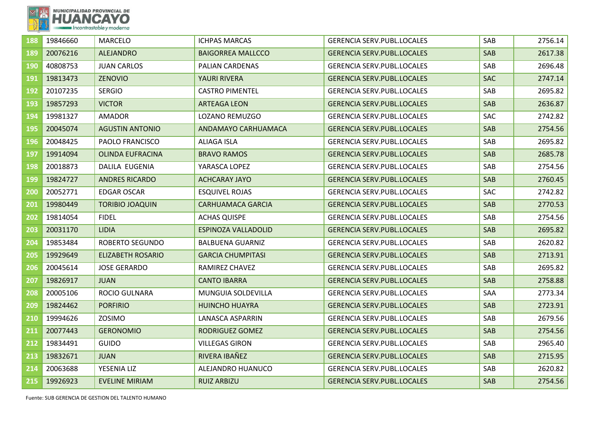

| 188 | 19846660 | <b>MARCELO</b>           | <b>ICHPAS MARCAS</b>       | <b>GERENCIA SERV.PUBL.LOCALES</b> | SAB        | 2756.14 |
|-----|----------|--------------------------|----------------------------|-----------------------------------|------------|---------|
| 189 | 20076216 | <b>ALEJANDRO</b>         | <b>BAIGORREA MALLCCO</b>   | <b>GERENCIA SERV.PUBL.LOCALES</b> | SAB        | 2617.38 |
| 190 | 40808753 | <b>JUAN CARLOS</b>       | PALIAN CARDENAS            | <b>GERENCIA SERV.PUBL.LOCALES</b> | SAB        | 2696.48 |
| 191 | 19813473 | <b>ZENOVIO</b>           | <b>YAURI RIVERA</b>        | <b>GERENCIA SERV.PUBL.LOCALES</b> | <b>SAC</b> | 2747.14 |
| 192 | 20107235 | <b>SERGIO</b>            | <b>CASTRO PIMENTEL</b>     | <b>GERENCIA SERV.PUBL.LOCALES</b> | SAB        | 2695.82 |
| 193 | 19857293 | <b>VICTOR</b>            | <b>ARTEAGA LEON</b>        | <b>GERENCIA SERV.PUBL.LOCALES</b> | SAB        | 2636.87 |
| 194 | 19981327 | <b>AMADOR</b>            | LOZANO REMUZGO             | <b>GERENCIA SERV.PUBL.LOCALES</b> | <b>SAC</b> | 2742.82 |
| 195 | 20045074 | <b>AGUSTIN ANTONIO</b>   | ANDAMAYO CARHUAMACA        | <b>GERENCIA SERV.PUBL.LOCALES</b> | SAB        | 2754.56 |
| 196 | 20048425 | PAOLO FRANCISCO          | <b>ALIAGA ISLA</b>         | <b>GERENCIA SERV.PUBL.LOCALES</b> | SAB        | 2695.82 |
| 197 | 19914094 | <b>OLINDA EUFRACINA</b>  | <b>BRAVO RAMOS</b>         | <b>GERENCIA SERV.PUBL.LOCALES</b> | <b>SAB</b> | 2685.78 |
| 198 | 20018873 | DALILA EUGENIA           | YARASCA LOPEZ              | <b>GERENCIA SERV.PUBL.LOCALES</b> | SAB        | 2754.56 |
| 199 | 19824727 | <b>ANDRES RICARDO</b>    | <b>ACHCARAY JAYO</b>       | <b>GERENCIA SERV.PUBL.LOCALES</b> | SAB        | 2760.45 |
| 200 | 20052771 | <b>EDGAR OSCAR</b>       | <b>ESQUIVEL ROJAS</b>      | <b>GERENCIA SERV.PUBL.LOCALES</b> | <b>SAC</b> | 2742.82 |
| 201 | 19980449 | <b>TORIBIO JOAQUIN</b>   | <b>CARHUAMACA GARCIA</b>   | <b>GERENCIA SERV.PUBL.LOCALES</b> | SAB        | 2770.53 |
| 202 | 19814054 | <b>FIDEL</b>             | <b>ACHAS QUISPE</b>        | <b>GERENCIA SERV.PUBL.LOCALES</b> | SAB        | 2754.56 |
| 203 | 20031170 | <b>LIDIA</b>             | <b>ESPINOZA VALLADOLID</b> | <b>GERENCIA SERV.PUBL.LOCALES</b> | <b>SAB</b> | 2695.82 |
| 204 | 19853484 | <b>ROBERTO SEGUNDO</b>   | <b>BALBUENA GUARNIZ</b>    | <b>GERENCIA SERV.PUBL.LOCALES</b> | SAB        | 2620.82 |
| 205 | 19929649 | <b>ELIZABETH ROSARIO</b> | <b>GARCIA CHUMPITASI</b>   | <b>GERENCIA SERV.PUBL.LOCALES</b> | SAB        | 2713.91 |
| 206 | 20045614 | <b>JOSE GERARDO</b>      | RAMIREZ CHAVEZ             | <b>GERENCIA SERV.PUBL.LOCALES</b> | SAB        | 2695.82 |
| 207 | 19826917 | <b>JUAN</b>              | <b>CANTO IBARRA</b>        | <b>GERENCIA SERV.PUBL.LOCALES</b> | <b>SAB</b> | 2758.88 |
| 208 | 20005106 | <b>ROCIO GULNARA</b>     | MUNGUIA SOLDEVILLA         | <b>GERENCIA SERV.PUBL.LOCALES</b> | SAA        | 2773.34 |
| 209 | 19824462 | <b>PORFIRIO</b>          | <b>HUINCHO HUAYRA</b>      | <b>GERENCIA SERV.PUBL.LOCALES</b> | SAB        | 2723.91 |
| 210 | 19994626 | ZOSIMO                   | <b>LANASCA ASPARRIN</b>    | <b>GERENCIA SERV.PUBL.LOCALES</b> | SAB        | 2679.56 |
| 211 | 20077443 | <b>GERONOMIO</b>         | RODRIGUEZ GOMEZ            | <b>GERENCIA SERV.PUBL.LOCALES</b> | SAB        | 2754.56 |
| 212 | 19834491 | <b>GUIDO</b>             | <b>VILLEGAS GIRON</b>      | <b>GERENCIA SERV.PUBL.LOCALES</b> | SAB        | 2965.40 |
| 213 | 19832671 | <b>JUAN</b>              | RIVERA IBAÑEZ              | <b>GERENCIA SERV.PUBL.LOCALES</b> | <b>SAB</b> | 2715.95 |
| 214 | 20063688 | YESENIA LIZ              | ALEJANDRO HUANUCO          | <b>GERENCIA SERV.PUBL.LOCALES</b> | SAB        | 2620.82 |
| 215 | 19926923 | <b>EVELINE MIRIAM</b>    | <b>RUIZ ARBIZU</b>         | <b>GERENCIA SERV.PUBL.LOCALES</b> | SAB        | 2754.56 |